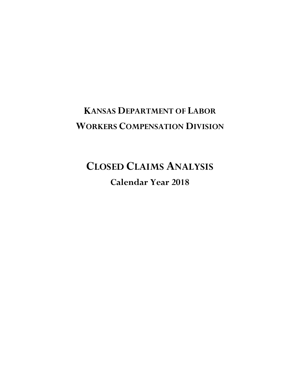## **KANSAS DEPARTMENT OF LABOR WORKERS COMPENSATION DIVISION**

# **CLOSED CLAIMS ANALYSIS**

**Calendar Year 2018**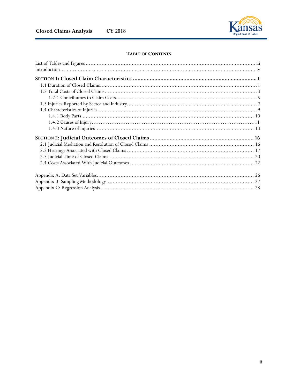

## TABLE OF CONTENTS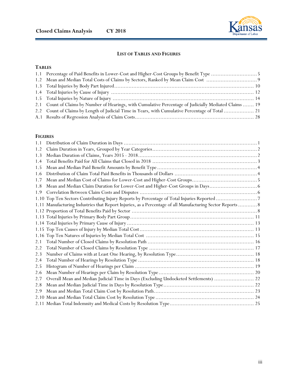

## **LIST OF TABLES AND FIGURES**

## **TABLES**

| 2.1 Count of Claims by Number of Hearings, with Cumulative Percentage of Judicially Mediated Claims  19 |  |
|---------------------------------------------------------------------------------------------------------|--|
| 2.2 Count of Claims by Length of Judicial Time in Years, with Cumulative Percentage of Total  21        |  |
|                                                                                                         |  |
|                                                                                                         |  |

## **FIGURES**

| 1.1 |                                                                                                           |  |
|-----|-----------------------------------------------------------------------------------------------------------|--|
| 1.2 |                                                                                                           |  |
| 1.3 |                                                                                                           |  |
| 1.4 |                                                                                                           |  |
| 1.5 |                                                                                                           |  |
| 1.6 |                                                                                                           |  |
| 1.7 |                                                                                                           |  |
| 1.8 |                                                                                                           |  |
| 1.9 |                                                                                                           |  |
|     | 1.10 Top Ten Sectors Contributing Injury Reports by Percentage of Total Injuries Reported7                |  |
|     | 1.11 Manufacturing Industries that Report Injuries, as a Percentage of all Manufacturing Sector Reports 8 |  |
|     |                                                                                                           |  |
|     |                                                                                                           |  |
|     |                                                                                                           |  |
|     |                                                                                                           |  |
|     |                                                                                                           |  |
| 2.1 |                                                                                                           |  |
| 2.2 |                                                                                                           |  |
| 2.3 |                                                                                                           |  |
| 2.4 |                                                                                                           |  |
| 2.5 |                                                                                                           |  |
| 2.6 |                                                                                                           |  |
| 2.7 | Overall Mean and Median Judicial Time in Days (Excluding Undocketed Settlements)  22                      |  |
| 2.8 |                                                                                                           |  |
| 2.9 |                                                                                                           |  |
|     |                                                                                                           |  |
|     |                                                                                                           |  |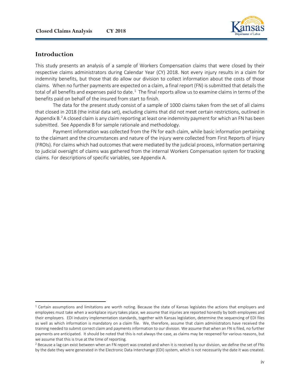

## **Introduction**

 $\overline{a}$ 

This study presents an analysis of a sample of Workers Compensation claims that were closed by their respective claims administrators during Calendar Year (CY) 2018. Not every injury results in a claim for indemnity benefits, but those that do allow our division to collect information about the costs of those claims. When no further payments are expected on a claim, a final report (FN) is submitted that details the total of all benefits and expenses paid to date.<sup>[1](#page-3-0)</sup> The final reports allow us to examine claims in terms of the benefits paid on behalf of the insured from start to finish.

The data for the present study consist of a sample of 1000 claims taken from the set of all claims that closed in 2018 (the initial data set), excluding claims that did not meet certain restrictions, outlined in Appendix B.<sup>[2](#page-3-1)</sup> A closed claim is any claim reporting at least one indemnity payment for which an FN has been submitted. See Appendix B for sample rationale and methodology.

Payment information was collected from the FN for each claim, while basic information pertaining to the claimant and the circumstances and nature of the injury were collected from First Reports of Injury (FROIs). For claims which had outcomes that were mediated by the judicial process, information pertaining to judicial oversight of claims was gathered from the internal Workers Compensation system for tracking claims. For descriptions of specific variables, see Appendix A.

<span id="page-3-0"></span> $1$  Certain assumptions and limitations are worth noting. Because the state of Kansas legislates the actions that employers and employees must take when a workplace injury takes place, we assume that injuries are reported honestly by both employees and their employers. EDI industry implementation standards, together with Kansas legislation, determine the sequencing of EDI files as well as which information is mandatory on a claim file. We, therefore, assume that claim administrators have received the training needed to submit correct claim and payments information to our division. We assume that when an FN is filed, no further payments are anticipated. It should be noted that this is not always the case, as claims may be reopened for various reasons, but we assume that this is true at the time of reporting.

<span id="page-3-1"></span><sup>&</sup>lt;sup>2</sup> Because a lag can exist between when an FN report was created and when it is received by our division, we define the set of FNs by the date they were generated in the Electronic Data Interchange (EDI) system, which is not necessarily the date it was created.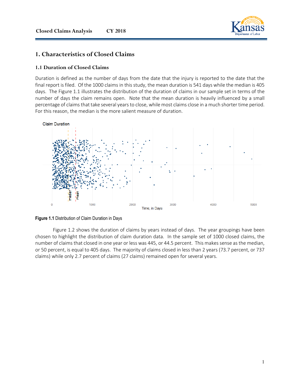

## **1. Characteristics of Closed Claims**

## **1.1 Duration of Closed Claims**

Duration is defined as the number of days from the date that the injury is reported to the date that the final report is filed. Of the 1000 claims in this study, the mean duration is 541 days while the median is 405 days. The Figure 1.1 illustrates the distribution of the duration of claims in our sample set in terms of the number of days the claim remains open. Note that the mean duration is heavily influenced by a small percentage of claims that take several years to close, while most claims close in a much shorter time period. For this reason, the median is the more salient measure of duration.





Figure 1.2 shows the duration of claims by years instead of days. The year groupings have been chosen to highlight the distribution of claim duration data. In the sample set of 1000 closed claims, the number of claims that closed in one year or less was 445, or 44.5 percent. This makes sense as the median, or 50 percent, is equal to 405 days. The majority of claims closed in less than 2 years (73.7 percent, or 737 claims) while only 2.7 percent of claims (27 claims) remained open for several years.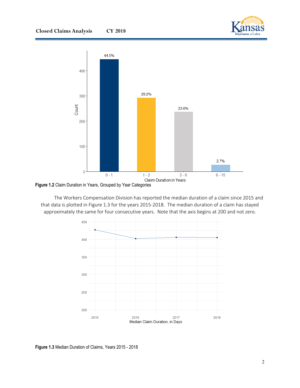



**Figure 1.2** Claim Duration in Years, Grouped by Year Categories

The Workers Compensation Division has reported the median duration of a claim since 2015 and that data is plotted in Figure 1.3 for the years 2015-2018. The median duration of a claim has stayed approximately the same for four consecutive years. Note that the axis begins at 200 and not zero.



**Figure 1.3** Median Duration of Claims, Years 2015 - 2018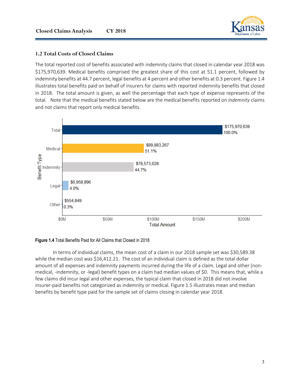

## **1.2 Total Costs of Closed Claims**

The total reported cost of benefits associated with indemnity claims that closed in calendar year 2018 was \$175,970,639. Medical benefits comprised the greatest share of this cost at 51.1 percent, followed by indemnity benefits at 44.7 percent, legal benefits at 4 percent and other benefits at 0.3 percent. Figure 1.4 illustrates total benefits paid on behalf of insurers for claims with reported indemnity benefits that closed in 2018. The total amount is given, as well the percentage that each type of expense represents of the total. Note that the medical benefits stated below are the medical benefits reported on *indemnity* claims and not claims that report only medical benefits.



#### **Figure 1.4** Total Benefits Paid for All Claims that Closed in 2018

In terms of individual claims, the mean cost of a claim in our 2018 sample set was \$30,589.38 while the median cost was \$16,412.21. The cost of an individual claim is defined as the total dollar amount of all expenses and indemnity payments incurred during the life of a claim. Legal and other (nonmedical, -indemnity, or -legal) benefit types on a claim had median values of \$0. This means that, while a few claims did incur legal and other expenses, the typical claim that closed in 2018 did not involve insurer-paid benefits not categorized as indemnity or medical. Figure 1.5 illustrates mean and median benefits by benefit type paid for the sample set of claims closing in calendar year 2018.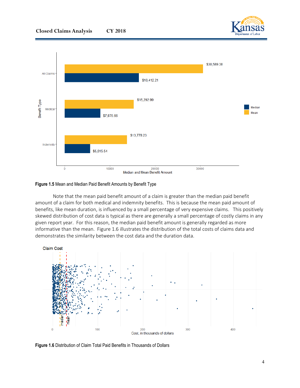



#### **Figure 1.5** Mean and Median Paid Benefit Amounts by Benefit Type

Note that the mean paid benefit amount of a claim is greater than the median paid benefit amount of a claim for both medical and indemnity benefits. This is because the mean paid amount of benefits, like mean duration, is influenced by a small percentage of very expensive claims. This positively skewed distribution of cost data is typical as there are generally a small percentage of costly claims in any given report year. For this reason, the median paid benefit amount is generally regarded as more informative than the mean. Figure 1.6 illustrates the distribution of the total costs of claims data and demonstrates the similarity between the cost data and the duration data.



**Figure 1.6** Distribution of Claim Total Paid Benefits in Thousands of Dollars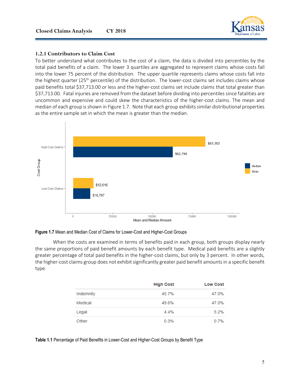

## **1.2.1 Contributors to Claim Cost**

To better understand what contributes to the cost of a claim, the data is divided into percentiles by the total paid benefits of a claim. The lower 3 quartiles are aggregated to represent claims whose costs fall into the lower 75 percent of the distribution. The upper quartile represents claims whose costs fall into the highest quarter (25<sup>th</sup> percentile) of the distribution. The lower-cost claims set includes claims whose paid benefits total \$37,713.00 or less and the higher-cost claims set include claims that total greater than \$37,713.00. Fatal injuries are removed from the dataset before dividing into percentiles since fatalities are uncommon and expensive and could skew the characteristics of the higher-cost claims. The mean and median of each group is shown in Figure 1.7. Note that each group exhibits similar distributional properties as the entire sample set in which the mean is greater than the median.



**Figure 1.7** Mean and Median Cost of Claims for Lower-Cost and Higher-Cost Groups

When the costs are examined in terms of benefits paid in each group, both groups display nearly the same proportions of paid benefit amounts by each benefit type. Medical paid benefits are a slightly greater percentage of total paid benefits in the higher-cost claims, but only by 3 percent. In other words, the higher-cost claims group does not exhibit significantly greater paid benefit amounts in a specific benefit type.

|           | <b>High Cost</b> | <b>Low Cost</b> |
|-----------|------------------|-----------------|
| Indemnity | 45.7%            | 47.0%           |
| Medical   | 49.6%            | 47.0%           |
| Legal     | 4.4%             | 5.2%            |
| Other     | 0.3%             | 0.7%            |

**Table 1.1** Percentage of Paid Benefits in Lower-Cost and Higher-Cost Groups by Benefit Type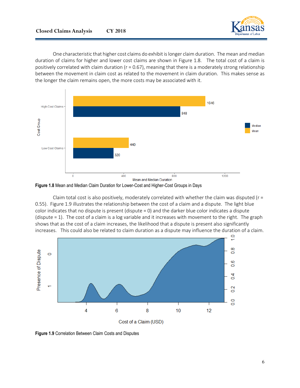![](_page_9_Picture_1.jpeg)

One characteristic that higher cost claims do exhibit is longer claim duration. The mean and median duration of claims for higher and lower cost claims are shown in Figure 1.8. The total cost of a claim is positively correlated with claim duration ( $r = 0.67$ ), meaning that there is a moderately strong relationship between the movement in claim cost as related to the movement in claim duration. This makes sense as the longer the claim remains open, the more costs may be associated with it.

![](_page_9_Figure_3.jpeg)

**Figure 1.8** Mean and Median Claim Duration for Lower-Cost and Higher-Cost Groups in Days

Claim total cost is also positively, moderately correlated with whether the claim was disputed ( $r =$ 0.55). Figure 1.9 illustrates the relationship between the cost of a claim and a dispute. The light blue color indicates that no dispute is present (dispute = 0) and the darker blue color indicates a dispute (dispute = 1). The cost of a claim is a log variable and it increases with movement to the right. The graph shows that as the cost of a claim increases, the likelihood that a dispute is present also significantly increases. This could also be related to claim duration as a dispute may influence the duration of a claim.

![](_page_9_Figure_6.jpeg)

**Figure 1.9** Correlation Between Claim Costs and Disputes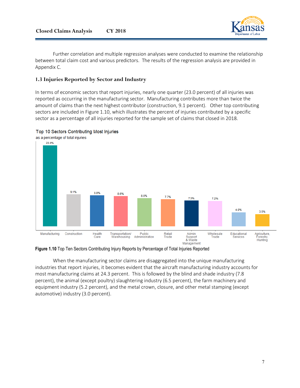![](_page_10_Picture_1.jpeg)

Further correlation and multiple regression analyses were conducted to examine the relationship between total claim cost and various predictors. The results of the regression analysis are provided in Appendix C.

## **1.3 Injuries Reported by Sector and Industry**

In terms of economic sectors that report injuries, nearly one quarter (23.0 percent) of all injuries was reported as occurring in the manufacturing sector. Manufacturing contributes more than twice the amount of claims than the next highest contributor (construction, 9.1 percent). Other top contributing sectors are included in Figure 1.10, which illustrates the percent of injuries contributed by a specific sector as a percentage of all injuries reported for the sample set of claims that closed in 2018.

![](_page_10_Figure_5.jpeg)

![](_page_10_Figure_6.jpeg)

**Figure 1.10** Top Ten Sectors Contributing Injury Reports by Percentage of Total Injuries Reported

When the manufacturing sector claims are disaggregated into the unique manufacturing industries that report injuries, it becomes evident that the aircraft manufacturing industry accounts for most manufacturing claims at 24.3 percent. This is followed by the blind and shade industry (7.8 percent), the animal (except poultry) slaughtering industry (6.5 percent), the farm machinery and equipment industry (5.2 percent), and the metal crown, closure, and other metal stamping (except automotive) industry (3.0 percent).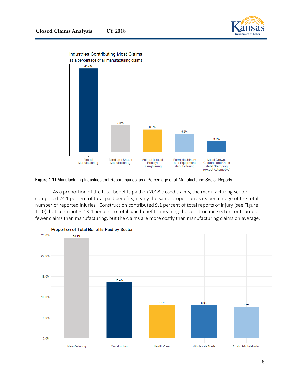![](_page_11_Picture_1.jpeg)

![](_page_11_Figure_2.jpeg)

#### **Figure 1.11** Manufacturing Industries that Report Injuries, as a Percentage of all Manufacturing Sector Reports

As a proportion of the total benefits paid on 2018 closed claims, the manufacturing sector comprised 24.1 percent of total paid benefits, nearly the same proportion as its percentage of the total number of reported injuries. Construction contributed 9.1 percent of total reports of injury (see Figure 1.10), but contributes 13.4 percent to total paid benefits, meaning the construction sector contributes fewer claims than manufacturing, but the claims are more costly than manufacturing claims on average.

![](_page_11_Figure_5.jpeg)

Proportion of Total Benefits Paid by Sector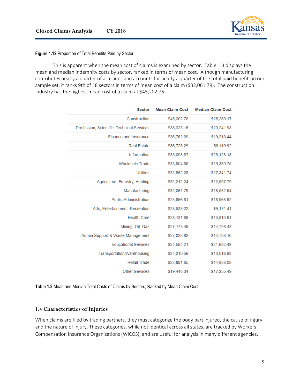![](_page_12_Picture_1.jpeg)

#### **Figure 1.12** Proportion of Total Benefits Paid by Sector

This is apparent when the mean cost of claims is examined by sector. Table 1.3 displays the mean and median indemnity costs by sector, ranked in terms of mean cost. Although manufacturing contributes nearly a quarter of all claims and accounts for nearly a quarter of the total paid benefits in our sample set, it ranks 9th of 18 sectors in terms of mean cost of a claim (\$32,061.79). The construction industry has the highest mean cost of a claim at \$45,202.76.

| <b>Sector</b>                              | <b>Mean Claim Cost</b> | <b>Median Claim Cost</b> |
|--------------------------------------------|------------------------|--------------------------|
| Construction                               | \$45,202.76            | \$25,280.17              |
| Profession, Scientific, Technical Services | \$38,623.15            | \$20,241.93              |
| Finance and Insurance                      | \$36,752.09            | \$19,213.44              |
| <b>Real Estate</b>                         | \$36,723.29            | \$9,119.92               |
| Information                                | \$35,093.67            | \$25,128.13              |
| <b>Wholesale Trade</b>                     | \$33,804.65            | \$19,380.75              |
| Utilities                                  | \$32,862.28            | \$27,341.74              |
| Agriculture, Forestry, Hunting             | \$32,212.24            | \$12,597.79              |
| Manufacturing                              | \$32,061.79            | \$18,532.54              |
| <b>Public Administration</b>               | \$28,866.61            | \$16,968.92              |
| Arts, Entertainment, Recreation            | \$28,539.22            | \$9,171.41               |
| <b>Health Care</b>                         | \$28,131.86            | \$15,815.91              |
| Mining, Oil, Gas                           | \$27,173.49            | \$14,726.43              |
| Admin Support & Waste Management           | \$27,028.62            | \$14,738.10              |
| <b>Educational Services</b>                | \$24,584.21            | \$21,632.49              |
| Transportation/Warehousing                 | \$24,210.56            | \$13,016.92              |
| <b>Retail Trade</b>                        | \$23,891.65            | \$14,838.08              |
| <b>Other Services</b>                      | \$19,448.34            | \$17,255.49              |

#### **Table 1.2** Mean and Median Total Costs of Claims by Sectors, Ranked by Mean Claim Cost

#### **1.4 Characteristics of Injuries**

When claims are filed by trading partners, they must categorize the body part injured, the cause of injury, and the nature of injury. These categories, while not identical across all states, are tracked by Workers Compensation Insurance Organizations (WICOS), and are useful for analysis in many different agencies.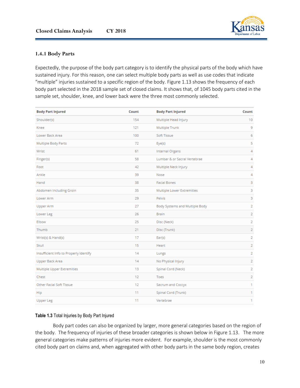![](_page_13_Picture_1.jpeg)

## **1.4.1 Body Parts**

Expectedly, the purpose of the body part category is to identify the physical parts of the body which have sustained injury. For this reason, one can select multiple body parts as well as use codes that indicate "multiple" injuries sustained to a specific region of the body. Figure 1.13 shows the frequency of each body part selected in the 2018 sample set of closed claims. It shows that, of 1045 body parts cited in the sample set, shoulder, knee, and lower back were the three most commonly selected.

| <b>Body Part Injured</b>               | Count | <b>Body Part Injured</b>       | Count |
|----------------------------------------|-------|--------------------------------|-------|
| Shoulder(s)                            | 154   | Multiple Head Injury           | 10    |
| Knee                                   | 121   | Multiple Trunk                 | 9     |
| Lower Back Area                        | 100   | Soft Tissue                    | 6     |
| Multiple Body Parts                    | 72    | Eye(s)                         | 5     |
| Wrist                                  | 61    | <b>Internal Organs</b>         | 4     |
| Finger(s)                              | 58    | Lumbar & or Sacral Vertebrae   | 4     |
| Foot                                   | 42    | Multiple Neck Injury           | 4     |
| Ankle                                  | 39    | Nose                           | 4     |
| Hand                                   | 38    | <b>Facial Bones</b>            | 3     |
| Abdomen Including Groin                | 35    | Multiple Lower Extremities     | 3     |
| Lower Arm                              | 29    | Pelvis                         | 3     |
| <b>Upper Arm</b>                       | 27    | Body Systems and Multiple Body | 2     |
| Lower Leg                              | 26    | <b>Brain</b>                   | 2     |
| Elbow                                  | 25    | Disc (Neck)                    | 2     |
| Thumb                                  | 21    | Disc (Trunk)                   | 2     |
| Wrist(s) & Hand(s)                     | 17    | Ear(s)                         | 2     |
| Skull                                  | 15    | Heart                          | 2     |
| Insufficient Info to Properly Identify | 14    | Lungs                          | 2     |
| Upper Back Area                        | 14    | No Physical Injury             | 2     |
| Multiple Upper Extremities             | 13    | Spinal Cord (Neck)             | 2     |
| Chest                                  | 12    | Toes                           | 2     |
| Other Facial Soft Tissue               | 12    | Sacrum and Coccyx              | 1     |
| Hip                                    | 11    | Spinal Cord (Trunk)            | 1     |
| <b>Upper Leg</b>                       | 11    | Vertebrae                      | 1     |

## **Table 1.3** Total Injuries by Body Part Injured

Body part codes can also be organized by larger, more general categories based on the region of the body. The frequency of injuries of these broader categories is shown below in Figure 1.13. The more general categories make patterns of injuries more evident. For example, shoulder is the most commonly cited body part on claims and, when aggregated with other body parts in the same body region, creates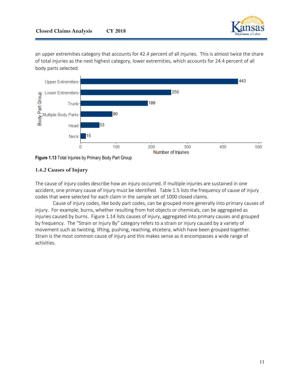![](_page_14_Picture_1.jpeg)

an upper extremities category that accounts for 42.4 percent of all injuries. This is almost twice the share of total injuries as the next highest category, lower extremities, which accounts for 24.4 percent of all body parts selected.

![](_page_14_Figure_3.jpeg)

![](_page_14_Figure_4.jpeg)

## **1.4.2 Causes of Injury**

The cause of injury codes describe how an injury occurred. If multiple injuries are sustained in one accident, one primary cause of injury must be identified. Table 1.5 lists the frequency of cause of injury codes that were selected for each claim in the sample set of 1000 closed claims.

Cause of injury codes, like body part codes, can be grouped more generally into primary causes of injury. For example, burns, whether resulting from hot objects or chemicals, can be aggregated as injuries caused by burns. Figure 1.14 lists causes of injury, aggregated into primary causes and grouped by frequency. The "Strain or Injury By" category refers to a strain or injury caused by a variety of movement such as twisting, lifting, pushing, reaching, etcetera, which have been grouped together. Strain is the most common cause of injury and this makes sense as it encompasses a wide range of activities.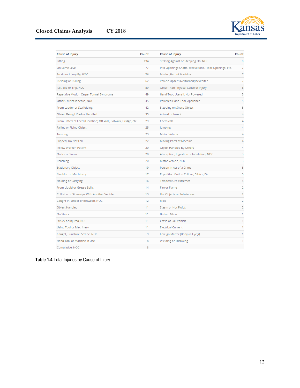![](_page_15_Picture_1.jpeg)

| <b>Cause of Injury</b>                                           | Count | <b>Cause of Injury</b>                                  | Count          |
|------------------------------------------------------------------|-------|---------------------------------------------------------|----------------|
| Lifting                                                          | 134   | Striking Against or Stepping On, NOC                    | 8              |
| On Same Level                                                    | 77    | Into Openings Shafts, Excavations, Floor Openings, etc. | 7              |
| Strain or Injury By, NOC                                         | 76    | Moving Part of Machine                                  | 7              |
| <b>Pushing or Pulling</b>                                        | 62    | Vehicle Upset/Overturned/Jackknifed                     | 7              |
| Fall, Slip or Trip, NOC                                          | 59    | Other Than Physical Cause of Injury                     | 6              |
| Repetitive Motion Carpel Tunnel Syndrome                         | 49    | Hand Tool, Utensil; Not Powered                         | 5              |
| Other - Miscellaneous, NOC                                       | 45    | Powered Hand Tool, Appliance                            | 5              |
| From Ladder or Scaffolding                                       | 42    | Stepping on Sharp Object                                | 5              |
| Object Being Lifted or Handled                                   | 35    | Animal or Insect                                        | 4              |
| From Different Level (Elevation) Off Wall, Catwalk, Bridge, etc. | 29    | Chemicals                                               | 4              |
| Falling or Flying Object                                         | 25    | Jumping                                                 | 4              |
| Twisting                                                         | 23    | Motor Vehicle                                           | 4              |
| Slipped, Do Not Fall                                             | 22    | Moving Parts of Machine                                 | 4              |
| Fellow Worker; Patient                                           | 20    | Object Handled By Others                                | 4              |
| On Ice or Snow                                                   | 20    | Absorption, Ingestion or Inhalation, NOC                | 3              |
| Reaching                                                         | 20    | Motor Vehicle, NOC                                      | 3              |
| Stationary Object                                                | 19    | Person in Act of a Crime                                | 3              |
| Machine or Machinery                                             | 17    | Repetitive Motion Callous, Blister, Etc.                | 3              |
| <b>Holding or Carrying</b>                                       | 16    | <b>Temperature Extremes</b>                             | 3              |
| From Liquid or Grease Spills                                     | 14    | Fire or Flame                                           | 2              |
| Collision or Sideswipe With Another Vehicle                      | 13    | Hot Objects or Substances                               | $\overline{2}$ |
| Caught In, Under or Between, NOC                                 | 12    | Mold                                                    | 2              |
| Object Handled                                                   | 11    | Steam or Hot Fluids                                     | 2              |
| On Stairs                                                        | 11    | <b>Broken Glass</b>                                     | 1              |
| Struck or Injured, NOC.                                          | 11    | Crash of Rail Vehicle                                   | 1              |
| Using Tool or Machinery                                          | 11    | <b>Electrical Current</b>                               | 1              |
| Caught, Puncture, Scrape, NOC                                    | 9     | Foreign Matter (Body) in Eye(s)                         | 1              |
| Hand Tool or Machine in Use                                      | 8     | Wielding or Throwing                                    | 1              |
| Cumulative, NOC                                                  | 8     |                                                         |                |

**Table 1.4** Total Injuries by Cause of Injury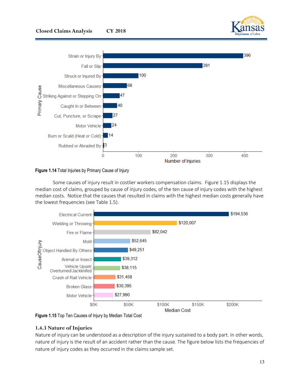![](_page_16_Figure_0.jpeg)

![](_page_16_Figure_1.jpeg)

![](_page_16_Figure_2.jpeg)

Some causes of injury result in costlier workers compensation claims. Figure 1.15 displays the median cost of claims, grouped by cause of injury codes, of the ten cause of injury codes with the highest median costs. Notice that the causes that resulted in claims with the highest median costs generally have the lowest frequencies (see Table 1.5).

![](_page_16_Figure_4.jpeg)

**Figure 1.15** Top Ten Causes of Injury by Median Total Cost

## **1.4.3 Nature of Injuries**

Nature of injury can be understood as a description of the injury sustained to a body part. In other words, nature of injury is the result of an accident rather than the cause. The figure below lists the frequencies of nature of injury codes as they occurred in the claims sample set.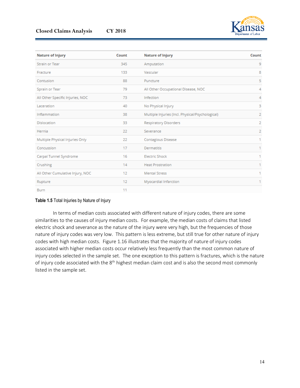![](_page_17_Picture_1.jpeg)

| <b>Nature of Injury</b>          | Count | <b>Nature of Injury</b>                          | Count |
|----------------------------------|-------|--------------------------------------------------|-------|
| Strain or Tear                   | 345   | Amputation                                       | 9     |
| Fracture                         | 133   | Vascular                                         | 8     |
| Contusion                        | 88    | Puncture                                         | 5     |
| Sprain or Tear                   | 79    | All Other Occupational Disease, NOC              | 4     |
| All Other Specific Injuries, NOC | 73    | Infection                                        | 4     |
| Laceration                       | 40    | No Physical Injury                               | 3     |
| Inflammation                     | 38    | Multiple Injuries (Incl. Physical/Psychological) | 2     |
| <b>Dislocation</b>               | 33    | <b>Respiratory Disorders</b>                     | 2     |
| Hernia                           | 22    | Severance                                        | 2     |
| Multiple Physical Injuries Only  | 22    | Contagious Disease                               | 1     |
| Concussion                       | 17    | <b>Dermatitis</b>                                | 1     |
| Carpal Tunnel Syndrome           | 16    | <b>Electric Shock</b>                            | 1     |
| Crushing                         | 14    | <b>Heat Prostration</b>                          | 1     |
| All Other Cumulative Injury, NOC | 12    | <b>Mental Stress</b>                             | 1     |
| Rupture                          | 12    | Myocardial Infarction                            | 1     |
| <b>Burn</b>                      | 11    |                                                  |       |

#### **Table 1.5** Total Injuries by Nature of Injury

In terms of median costs associated with different nature of injury codes, there are some similarities to the causes of injury median costs. For example, the median costs of claims that listed electric shock and severance as the nature of the injury were very high, but the frequencies of those nature of injury codes was very low. This pattern is less extreme, but still true for other nature of injury codes with high median costs. Figure 1.16 illustrates that the majority of nature of injury codes associated with higher median costs occur relatively less frequently than the most common nature of injury codes selected in the sample set. The one exception to this pattern is fractures, which is the nature of injury code associated with the 8<sup>th</sup> highest median claim cost and is also the second most commonly listed in the sample set.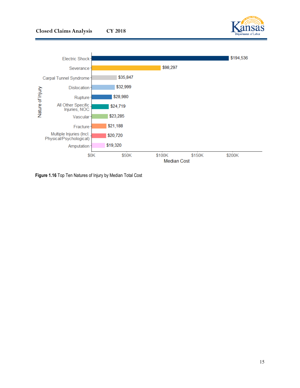![](_page_18_Picture_1.jpeg)

![](_page_18_Figure_2.jpeg)

**Figure 1.16** Top Ten Natures of Injury by Median Total Cost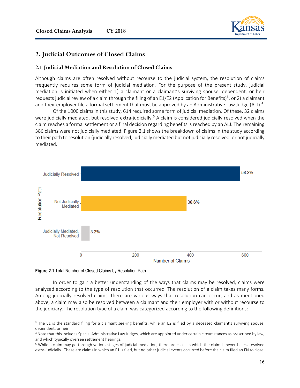![](_page_19_Picture_1.jpeg)

## **2. Judicial Outcomes of Closed Claims**

#### **2.1 Judicial Mediation and Resolution of Closed Claims**

Although claims are often resolved without recourse to the judicial system, the resolution of claims frequently requires some form of judicial mediation. For the purpose of the present study, judicial mediation is initiated when either 1) a claimant or a claimant's surviving spouse, dependent, or heir requests judicial review of a claim through the filing of an E1/E2 (Application for Benefits)<sup>[3](#page-19-0)</sup>, or 2) a claimant and their employer file a formal settlement that must be approved by an Administrative Law Judge (ALJ).<sup>[4](#page-19-1)</sup>

Of the 1000 claims in this study, 614 required some form of judicial mediation. Of these, 32 claims were judicially mediated, but resolved extra-judicially.<sup>5</sup> A claim is considered judicially resolved when the claim reaches a formal settlement or a final decision regarding benefits is reached by an ALJ. The remaining 386 claims were not judicially mediated. Figure 2.1 shows the breakdown of claims in the study according to their path to resolution (judicially resolved, judicially mediated but not judicially resolved, or not judicially mediated.

![](_page_19_Figure_6.jpeg)

**Figure 2.1** Total Number of Closed Claims by Resolution Path

 $\overline{a}$ 

In order to gain a better understanding of the ways that claims may be resolved, claims were analyzed according to the type of resolution that occurred. The resolution of a claim takes many forms. Among judicially resolved claims, there are various ways that resolution can occur, and as mentioned above, a claim may also be resolved between a claimant and their employer with or without recourse to the judiciary. The resolution type of a claim was categorized according to the following definitions:

<span id="page-19-0"></span><sup>&</sup>lt;sup>3</sup> The E1 is the standard filing for a claimant seeking benefits, while an E2 is filed by a deceased claimant's surviving spouse, dependent, or heir.

<span id="page-19-1"></span><sup>4</sup> Note that this includes Special Administrative Law Judges, which are appointed under certain circumstances as prescribed by law, and which typically oversee settlement hearings.

<span id="page-19-2"></span><sup>5</sup> While a claim may go through various stages of judicial mediation, there are cases in which the claim is nevertheless resolved extra-judicially. These are claims in which an E1 is filed, but no other judicial events occurred before the claim filed an FN to close.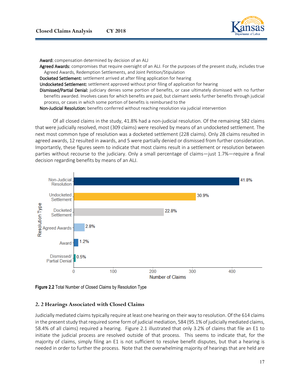![](_page_20_Picture_1.jpeg)

Award: compensation determined by decision of an ALJ

Agreed Awards: compromises that require oversight of an ALJ. For the purposes of the present study, includes true Agreed Awards, Redemption Settlements, and Joint Petition/Stipulation

Docketed Settlement: settlement arrived at after filing application for hearing

Undocketed Settlement: settlement approved without prior filing of application for hearing

Dismissed/Partial Denial: judiciary denies some portion of benefits, or case ultimately dismissed with no further benefits awarded. Involves cases for which benefits are paid, but claimant seeks further benefits through judicial process, or cases in which some portion of benefits is reimbursed to the

Non-Judicial Resolution: benefits conferred without reaching resolution via judicial intervention

Of all closed claims in the study, 41.8% had a non-judicial resolution. Of the remaining 582 claims that were judicially resolved, most (309 claims) were resolved by means of an undocketed settlement. The next most common type of resolution was a docketed settlement (228 claims). Only 28 claims resulted in agreed awards, 12 resulted in awards, and 5 were partially denied or dismissed from further consideration. Importantly, these figures seem to indicate that most claims result in a settlement or resolution between parties without recourse to the judiciary. Only a small percentage of claims—just 1.7%—require a final decision regarding benefits by means of an ALJ.

![](_page_20_Figure_9.jpeg)

**Figure 2.2** Total Number of Closed Claims by Resolution Type

## **2. 2 Hearings Associated with Closed Claims**

Judicially mediated claims typically require at least one hearing on their way to resolution. Of the 614 claims in the present study that required some form of judicial mediation, 584 (95.1% of judicially mediated claims, 58.4% of all claims) required a hearing. Figure 2.1 illustrated that only 3.2% of claims that file an E1 to initiate the judicial process are resolved outside of that process. This seems to indicate that, for the majority of claims, simply filing an E1 is not sufficient to resolve benefit disputes, but that a hearing is needed in order to further the process. Note that the overwhelming majority of hearings that are held are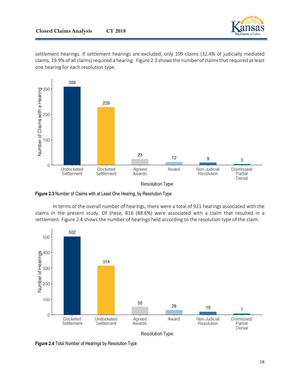![](_page_21_Picture_1.jpeg)

settlement hearings. If settlement hearings are excluded, only 199 claims (32.4% of judicially mediated claims, 19.9% of all claims) required a hearing. Figure 2.3 shows the number of claims that required at least one hearing for each resolution type.

![](_page_21_Figure_3.jpeg)

**Figure 2.3** Number of Claims with at Least One Hearing, by Resolution Type

In terms of the overall number of hearings, there were a total of 921 hearings associated with the claims in the present study. Of these, 816 (88.6%) were associated with a claim that resulted in a settlement. Figure 2.4 shows the number of hearings held according to the resolution type of the claim.

![](_page_21_Figure_6.jpeg)

**Figure 2.4** Total Number of Hearings by Resolution Type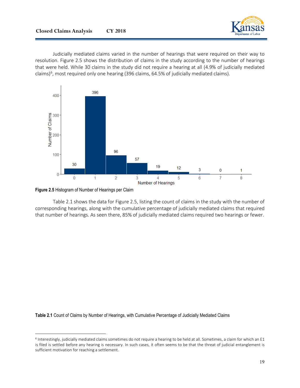![](_page_22_Picture_1.jpeg)

Judicially mediated claims varied in the number of hearings that were required on their way to resolution. Figure 2.5 shows the distribution of claims in the study according to the number of hearings that were held. While 30 claims in the study did not require a hearing at all (4.9% of judicially mediated claims)<sup>6</sup>, most required only one hearing (396 claims, 64.5% of judicially mediated claims).

![](_page_22_Figure_3.jpeg)

#### **Figure 2.5** Histogram of Number of Hearings per Claim

 $\overline{\phantom{a}}$ 

Table 2.1 shows the data for Figure 2.5, listing the count of claims in the study with the number of corresponding hearings, along with the cumulative percentage of judicially mediated claims that required that number of hearings. As seen there, 85% of judicially mediated claims required two hearings or fewer.

**Table 2.1** Count of Claims by Number of Hearings, with Cumulative Percentage of Judicially Mediated Claims

<span id="page-22-0"></span><sup>6</sup> Interestingly, judicially mediated claims sometimes do not require a hearing to be held at all. Sometimes, a claim for which an E1 is filed is settled before any hearing is necessary. In such cases, it often seems to be that the threat of judicial entanglement is sufficient motivation for reaching a settlement.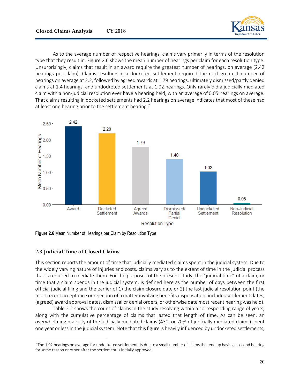![](_page_23_Picture_1.jpeg)

As to the average number of respective hearings, claims vary primarily in terms of the resolution type that they result in. Figure 2.6 shows the mean number of hearings per claim for each resolution type. Unsurprisingly, claims that result in an award require the greatest number of hearings, on average (2.42 hearings per claim). Claims resulting in a docketed settlement required the next greatest number of hearings on average at 2.2, followed by agreed awards at 1.79 hearings, ultimately dismissed/partly denied claims at 1.4 hearings, and undocketed settlements at 1.02 hearings. Only rarely did a judicially mediated claim with a non-judicial resolution ever have a hearing held, with an average of 0.05 hearings on average. That claims resulting in docketed settlements had 2.2 hearings on average indicates that most of these had at least one hearing prior to the settlement hearing.<sup>[7](#page-23-0)</sup>

![](_page_23_Figure_3.jpeg)

**Figure 2.6** Mean Number of Hearings per Claim by Resolution Type

## **2.3 Judicial Time of Closed Claims**

 $\overline{a}$ 

This section reports the amount of time that judicially mediated claims spent in the judicial system. Due to the widely varying nature of injuries and costs, claims vary as to the extent of time in the judicial process that is required to mediate them. For the purposes of the present study, the "judicial time" of a claim, or time that a claim spends in the judicial system, is defined here as the number of days between the first official judicial filing and the earlier of 1) the claim closure date or 2) the last judicial resolution point (the most recent acceptance or rejection of a matter involving benefits dispensation; includes settlement dates, (agreed) award approval dates, dismissal or denial orders, or otherwise date most recent hearing was held).

Table 2.2 shows the count of claims in the study resolving within a corresponding range of years, along with the cumulative percentage of claims that lasted that length of time. As can be seen, an overwhelming majority of the judicially mediated claims (430, or 70% of judicially mediated claims) spent one year or less in the judicial system. Note that this figure is heavily influenced by undocketed settlements,

<span id="page-23-0"></span><sup>&</sup>lt;sup>7</sup> The 1.02 hearings on average for undocketed settlements is due to a small number of claims that end up having a second hearing for some reason or other after the settlement is initially approved.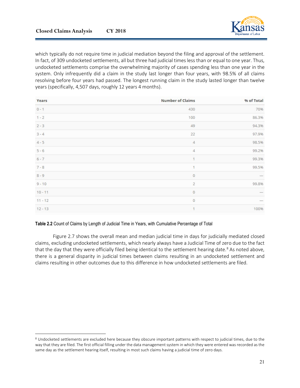$\overline{\phantom{a}}$ 

which typically do not require time in judicial mediation beyond the filing and approval of the settlement. In fact, of 309 undocketed settlements, all but three had judicial times less than or equal to one year. Thus, undocketed settlements comprise the overwhelming majority of cases spending less than one year in the system. Only infrequently did a claim in the study last longer than four years, with 98.5% of all claims resolving before four years had passed. The longest running claim in the study lasted longer than twelve years (specifically, 4,507 days, roughly 12 years 4 months).

| Years     | <b>Number of Claims</b> | % of Total               |
|-----------|-------------------------|--------------------------|
| $0 - 1$   | 430                     | 70%                      |
| $1 - 2$   | 100                     | 86.3%                    |
| $2 - 3$   | 49                      | 94.3%                    |
| $3 - 4$   | 22                      | 97.9%                    |
| $4 - 5$   | $\overline{4}$          | 98.5%                    |
| $5 - 6$   | $\overline{4}$          | 99.2%                    |
| $6 - 7$   | $\mathbf{1}$            | 99.3%                    |
| $7 - 8$   | 1                       | 99.5%                    |
| $8 - 9$   | $\circ$                 |                          |
| $9 - 10$  | $\overline{2}$          | 99.8%                    |
| $10 - 11$ | $\circ$                 | $\overline{\phantom{a}}$ |
| $11 - 12$ | $\circ$                 |                          |
| $12 - 13$ | 1                       | 100%                     |

## **Table 2.2** Count of Claims by Length of Judicial Time in Years, with Cumulative Percentage of Total

Figure 2.7 shows the overall mean and median judicial time in days for judicially mediated closed claims, excluding undocketed settlements, which nearly always have a Judicial Time of zero due to the fact that the day that they were officially filed being identical to the settlement hearing date.<sup>[8](#page-24-0)</sup> As noted above, there is a general disparity in judicial times between claims resulting in an undocketed settlement and claims resulting in other outcomes due to this difference in how undocketed settlements are filed.

<span id="page-24-0"></span><sup>&</sup>lt;sup>8</sup> Undocketed settlements are excluded here because they obscure important patterns with respect to judicial times, due to the way that they are filed. The first official filling under the data management system in which they were entered was recorded as the same day as the settlement hearing itself, resulting in most such claims having a judicial time of zero days.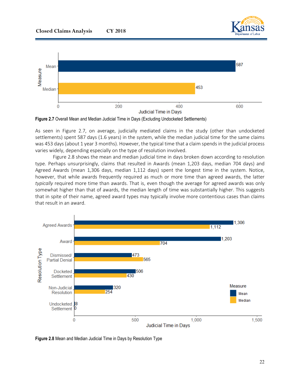![](_page_25_Picture_1.jpeg)

![](_page_25_Figure_2.jpeg)

**Figure 2.7** Overall Mean and Median Judicial Time in Days (Excluding Undocketed Settlements)

As seen in Figure 2.7, on average, judicially mediated claims in the study (other than undocketed settlements) spent 587 days (1.6 years) in the system, while the median judicial time for the same claims was 453 days (about 1 year 3 months). However, the typical time that a claim spends in the judicial process varies widely, depending especially on the type of resolution involved.

Figure 2.8 shows the mean and median judicial time in days broken down according to resolution type. Perhaps unsurprisingly, claims that resulted in Awards (mean 1,203 days, median 704 days) and Agreed Awards (mean 1,306 days, median 1,112 days) spent the longest time in the system. Notice, however, that while awards frequently required as much or more time than agreed awards, the latter *typically* required more time than awards. That is, even though the average for agreed awards was only somewhat higher than that of awards, the median length of time was substantially higher. This suggests that in spite of their name, agreed award types may typically involve more contentious cases than claims that result in an award.

![](_page_25_Figure_6.jpeg)

**Figure 2.8** Mean and Median Judicial Time in Days by Resolution Type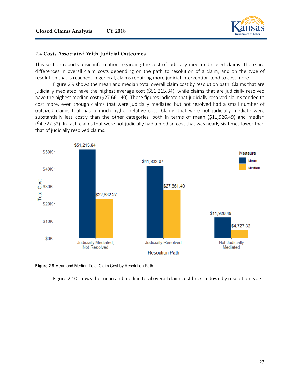![](_page_26_Picture_1.jpeg)

#### **2.4 Costs Associated With Judicial Outcomes**

This section reports basic information regarding the cost of judicially mediated closed claims. There are differences in overall claim costs depending on the path to resolution of a claim, and on the type of resolution that is reached. In general, claims requiring more judicial intervention tend to cost more.

Figure 2.9 shows the mean and median total overall claim cost by resolution path. Claims that are judicially mediated have the highest average cost (\$51,215.84), while claims that are judicially resolved have the highest median cost (\$27,661.40). These figures indicate that judicially resolved claims tended to cost more, even though claims that were judicially mediated but not resolved had a small number of outsized claims that had a much higher relative cost. Claims that were not judicially mediate were substantially less costly than the other categories, both in terms of mean (\$11,926.49) and median (\$4,727.32). In fact, claims that were not judicially had a median cost that was nearly six times lower than that of judicially resolved claims.

![](_page_26_Figure_5.jpeg)

![](_page_26_Figure_6.jpeg)

Figure 2.10 shows the mean and median total overall claim cost broken down by resolution type.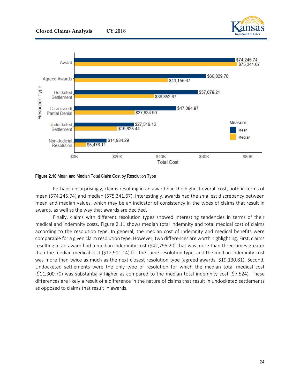![](_page_27_Picture_1.jpeg)

![](_page_27_Figure_2.jpeg)

#### **Figure 2.10** Mean and Median Total Claim Cost by Resolution Type

Perhaps unsurprisingly, claims resulting in an award had the highest overall cost, both in terms of mean (\$74,245.74) and median (\$75,341.67). Interestingly, awards had the smallest discrepancy between mean and median values, which may be an indicator of consistency in the types of claims that result in awards, as well as the way that awards are decided.

Finally, claims with different resolution types showed interesting tendencies in terms of their medical and indemnity costs. Figure 2.11 shows median total indemnity and total medical cost of claims according to the resolution type. In general, the median cost of indemnity and medical benefits were comparable for a given claim resolution type. However, two differences are worth highlighting. First, claims resulting in an award had a median indemnity cost (\$42,795.20) that was more than three times greater than the median medical cost (\$12,911.14) for the same resolution type, and the median indemnity cost was more than twice as much as the next closest resolution type (agreed awards, \$19,130.81). Second, Undocketed settlements were the only type of resolution for which the median total medical cost (\$11,300.70) was substantially higher as compared to the median total indemnity cost (\$7,524). These differences are likely a result of a difference in the nature of claims that result in undocketed settlements as opposed to claims that result in awards.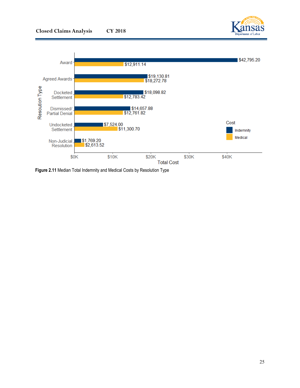![](_page_28_Picture_1.jpeg)

![](_page_28_Figure_2.jpeg)

**Figure 2.11** Median Total Indemnity and Medical Costs by Resolution Type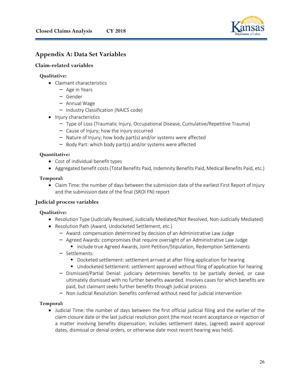![](_page_29_Picture_1.jpeg)

## **Appendix A: Data Set Variables**

## **Claim-related variables**

## **Qualitative:**

- Claimant characteristics
	- Age in Years
	- Gender
	- Annual Wage
	- Industry Classification (NAICS code)
- Injury characteristics
	- Type of Loss (Traumatic Injury, Occupational Disease, Cumulative/Repetitive Trauma)
	- Cause of Injury; how the injury occurred
	- Nature of Injury; how body part(s) and/or systems were affected
	- Body Part: which body part(s) and/or systems were affected

## **Quantitative:**

- Cost of individual benefit types
- Aggregated benefit costs (Total Benefits Paid, Indemnity Benefits Paid, Medical Benefits Paid, etc.)

## **Temporal:**

• Claim Time: the number of days between the submission date of the earliest First Report of Injury and the submission date of the final (SROI FN) report

## **Judicial process variables**

## **Qualitative:**

- Resolution Type (Judicially Resolved, Judicially Mediated/Not Resolved, Non-Judicially Mediated)
- Resolution Path (Award, Undocketed Settlement, etc.)
	- Award: compensation determined by decision of an Administrative Law Judge
	- Agreed Awards: compromises that require oversight of an Administrative Law Judge
		- **include true Agreed Awards, Joint Petition/Stipulation, Redemption Settlements**
	- Settlements:
		- **D** Docketed settlement: settlement arrived at after filing application for hearing
		- Undocketed Settlement: settlement approved without filing of application for hearing
	- Dismissed/Partial Denial: judiciary determines benefits to be partially denied, or case ultimately dismissed with no further benefits awarded. Involves cases for which benefits are paid, but claimant seeks further benefits through judicial process
	- Non-Judicial Resolution: benefits conferred without need for judicial intervention

## **Temporal:**

• Judicial Time: the number of days between the first official judicial filing and the earlier of the claim closure date or the last judicial resolution point (the most recent acceptance or rejection of a matter involving benefits dispensation; includes settlement dates, (agreed) award approval dates, dismissal or denial orders, or otherwise date most recent hearing was held).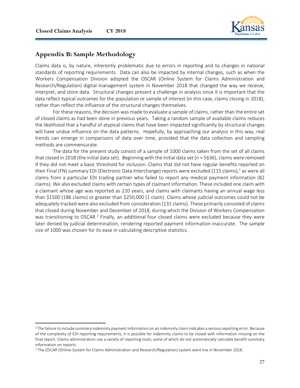$\overline{a}$ 

![](_page_30_Picture_1.jpeg)

## **Appendix B: Sample Methodology**

Claims data is, by nature, inherently problematic due to errors in reporting and to changes in national standards of reporting requirements. Data can also be impacted by internal changes, such as when the Workers Compensation Division adopted the OSCAR (Online System for Claims Administration and Research/Regulation) digital management system in November 2018 that changed the way we receive, interpret, and store data. Structural changes present a challenge in analysis since it is important that the data reflect typical outcomes for the population or sample of interest (in this case, claims closing in 2018), rather than reflect the influence of the structural changes themselves.

For these reasons, the decision was made to evaluate a sample of claims, rather than the entire set of closed claims as had been done in previous years. Taking a random sample of available claims reduces the likelihood that a handful of atypical claims that have been impacted significantly by structural changes will have undue influence on the data patterns. Hopefully, by approaching our analysis in this way, real trends can emerge in comparisons of data over time, provided that the data collection and sampling methods are commensurate.

The data for the present study consist of a sample of 1000 claims taken from the set of all claims that closed in 2018 (the initial data set). Beginning with the initial data set (n = 5636), claims were removed if they did not meet a basic threshold for inclusion. Claims that did not have regular benefits reported on their Final (FN) summary EDI (Electronic Data Interchange) reports were excluded ([1](#page-30-0)15 claims),<sup>1</sup> as were all claims from a particular EDI trading partner who failed to report any medical payment information (82 claims). We also excluded claims with certain types of claimant information. These included one claim with a claimant whose age was reported as 220 years, and claims with claimants having an annual wage less than \$1500 (186 claims) or greater than \$250,000 (1 claim). Claims whose judicial outcomes could not be adequately tracked were also excluded from consideration (131 claims). These primarily consisted of claims that closed during November and December of 2018, during which the Division of Workers Compensation was transitioning to OSCAR.<sup>[2](#page-30-1)</sup> Finally, an additional four closed claims were excluded because they were later denied by judicial determination, rendering reported payment information inaccurate. The sample size of 1000 was chosen for its ease in calculating descriptive statistics.

<span id="page-30-0"></span> $1$  The failure to include summary indemnity payment information on an indemnity claim indicates a serious reporting error. Because of the complexity of EDI reporting requirements, it is possible for indemnity claims to be closed with information missing on the final report. Claims administrators use a variety of reporting tools, some of which do not automatically calculate benefit summary information on reports.

<span id="page-30-1"></span><sup>2</sup> The OSCAR (Online System for Claims Administration and Research/Regulation) system went live in November 2018.